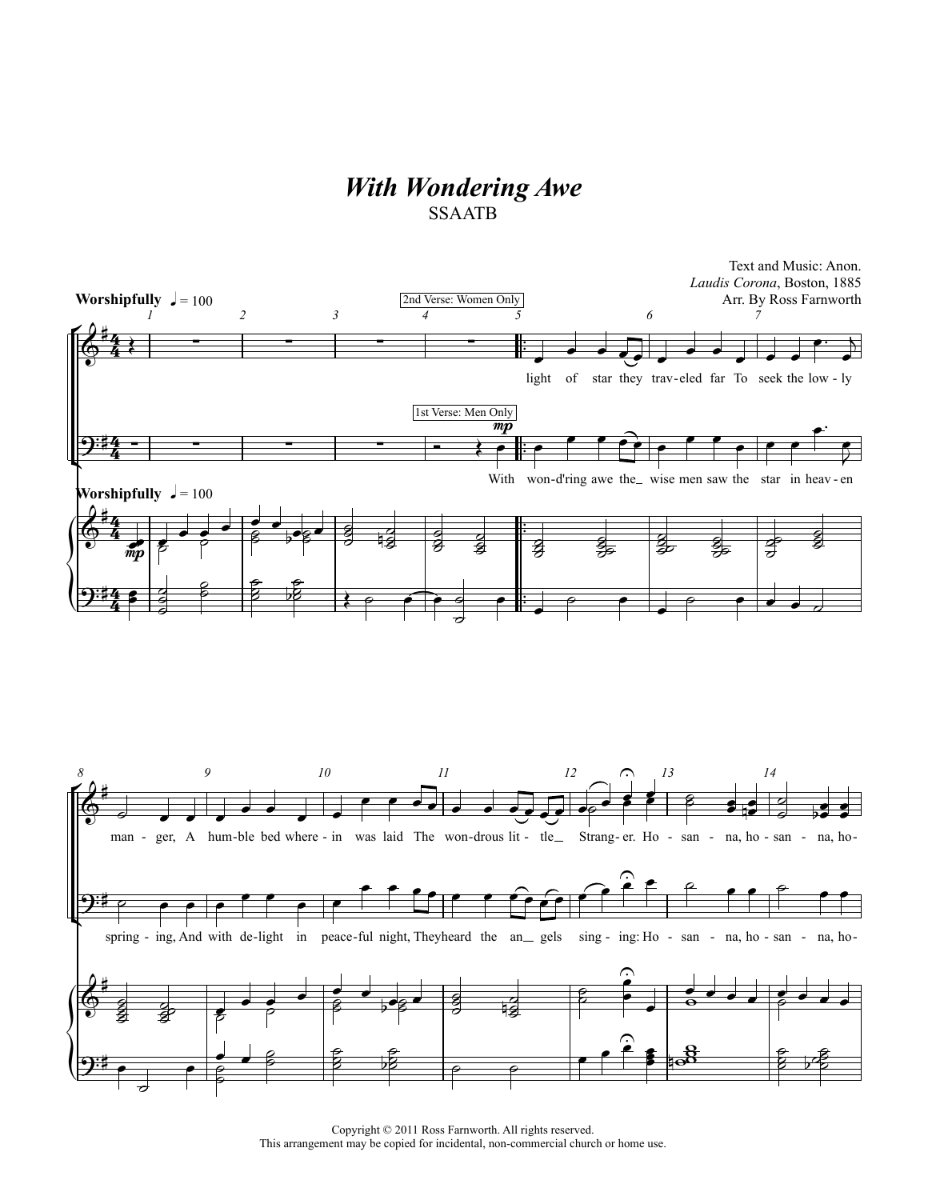## *With Wondering Awe* SSAATB



Copyright © 2011 Ross Farnworth. All rights reserved. This arrangement may be copied for incidental, non-commercial church or home use.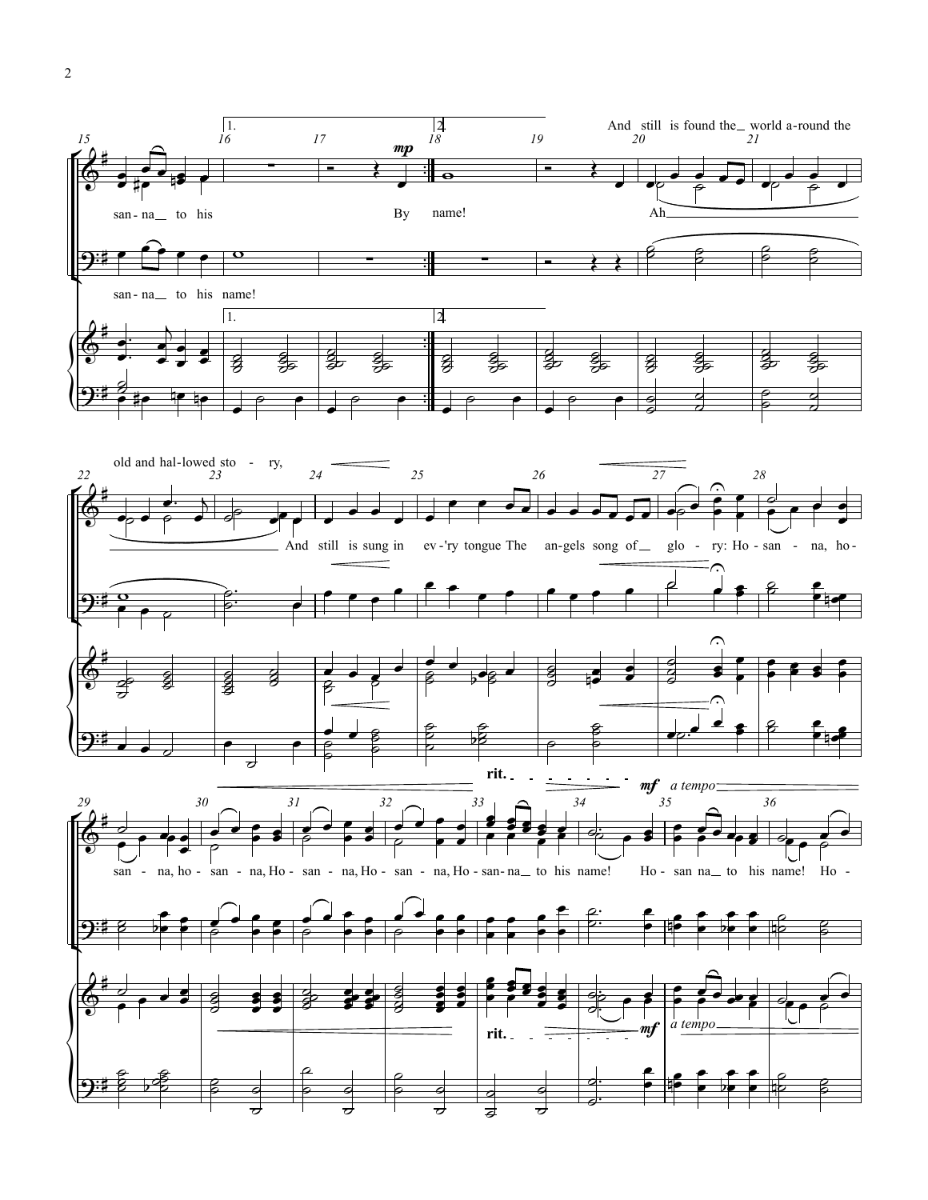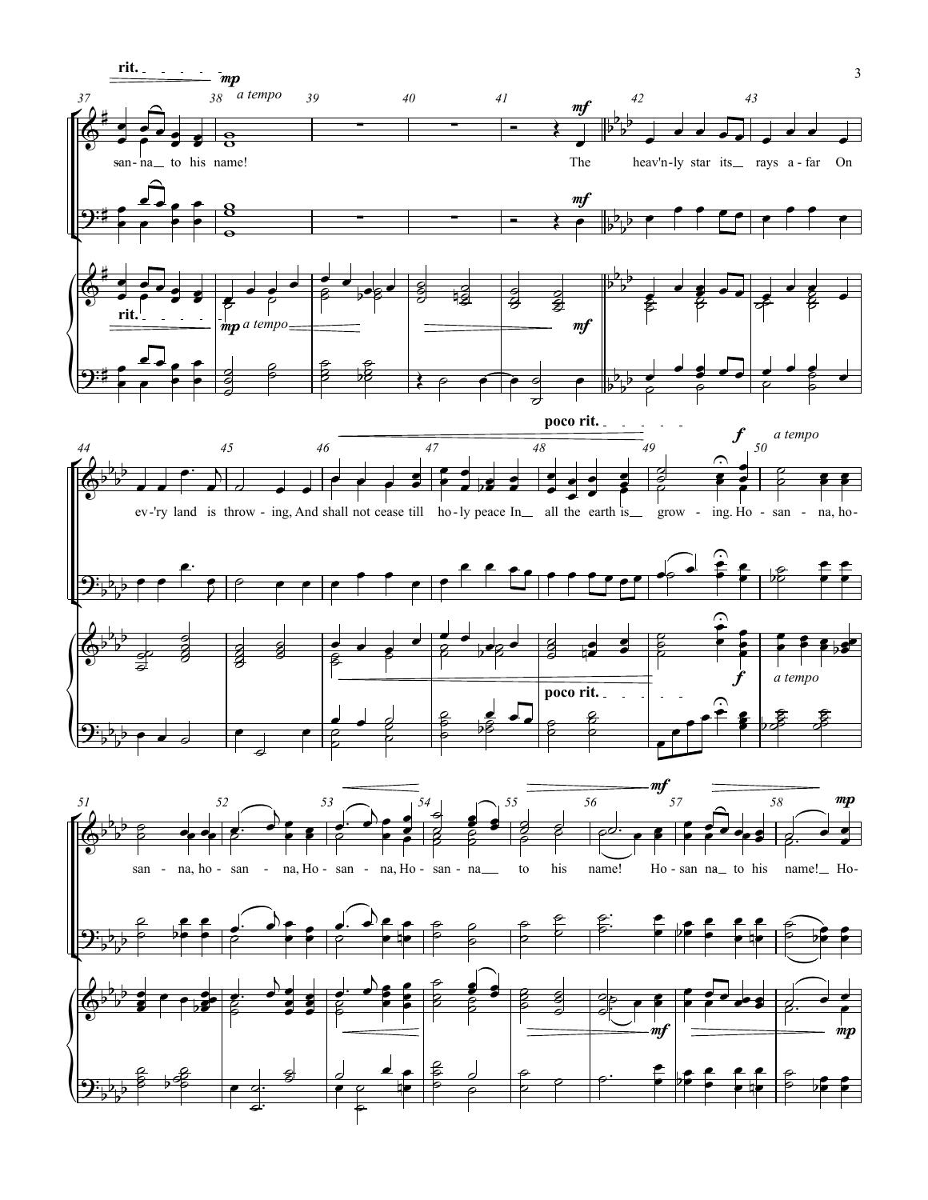